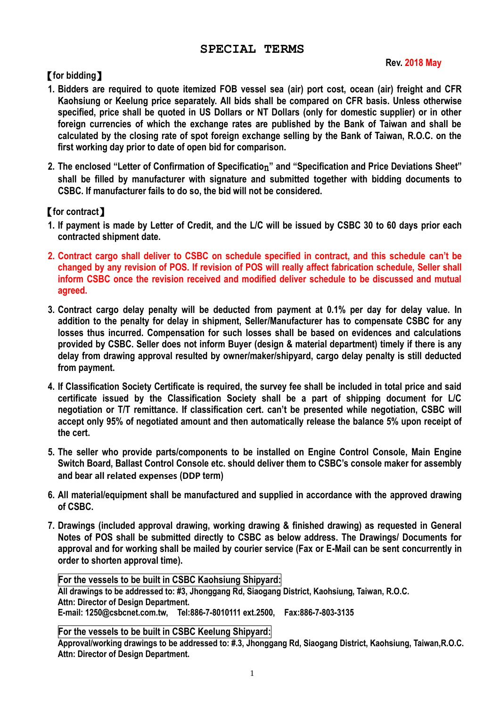# **SPECIAL TERMS**

### **Rev. 2018 May**

# 【**for bidding**】

- **1. Bidders are required to quote itemized FOB vessel sea (air) port cost, ocean (air) freight and CFR Kaohsiung or Keelung price separately. All bids shall be compared on CFR basis. Unless otherwise specified, price shall be quoted in US Dollars or NT Dollars (only for domestic supplier) or in other foreign currencies of which the exchange rates are published by the Bank of Taiwan and shall be calculated by the closing rate of spot foreign exchange selling by the Bank of Taiwan, R.O.C. on the first working day prior to date of open bid for comparison.**
- **2. The enclosed "Letter of Confirmation of Specificatio**n**" and "Specification and Price Deviations Sheet" shall be filled by manufacturer with signature and submitted together with bidding documents to CSBC. If manufacturer fails to do so, the bid will not be considered.**

# 【**for contract**】

- **1. If payment is made by Letter of Credit, and the L/C will be issued by CSBC 30 to 60 days prior each contracted shipment date.**
- **2. Contract cargo shall deliver to CSBC on schedule specified in contract, and this schedule can't be changed by any revision of POS. If revision of POS will really affect fabrication schedule, Seller shall inform CSBC once the revision received and modified deliver schedule to be discussed and mutual agreed.**
- **3. Contract cargo delay penalty will be deducted from payment at 0.1% per day for delay value. In addition to the penalty for delay in shipment, Seller/Manufacturer has to compensate CSBC for any losses thus incurred. Compensation for such losses shall be based on evidences and calculations provided by CSBC. Seller does not inform Buyer (design & material department) timely if there is any delay from drawing approval resulted by owner/maker/shipyard, cargo delay penalty is still deducted from payment.**
- **4. If Classification Society Certificate is required, the survey fee shall be included in total price and said certificate issued by the Classification Society shall be a part of shipping document for L/C negotiation or T/T remittance. If classification cert. can't be presented while negotiation, CSBC will accept only 95% of negotiated amount and then automatically release the balance 5% upon receipt of the cert.**
- **5. The seller who provide parts/components to be installed on Engine Control Console, Main Engine Switch Board, Ballast Control Console etc. should deliver them to CSBC's console maker for assembly and bear all related expenses (DDP term)**
- **6. All material/equipment shall be manufactured and supplied in accordance with the approved drawing of CSBC.**
- **7. Drawings (included approval drawing, working drawing & finished drawing) as requested in General Notes of POS shall be submitted directly to CSBC as below address. The Drawings/ Documents for approval and for working shall be mailed by courier service (Fax or E-Mail can be sent concurrently in order to shorten approval time).**

**For the vessels to be built in CSBC Kaohsiung Shipyard: All drawings to be addressed to: #3, Jhonggang Rd, Siaogang District, Kaohsiung, Taiwan, R.O.C. Attn: Director of Design Department. E-mail: 1250@csbcnet.com.tw, Tel:886-7-8010111 ext.2500, Fax:886-7-803-3135**

#### **For the vessels to be built in CSBC Keelung Shipyard:**

**Approval/working drawings to be addressed to: #.3, Jhonggang Rd, Siaogang District, Kaohsiung, Taiwan,R.O.C. Attn: Director of Design Department.**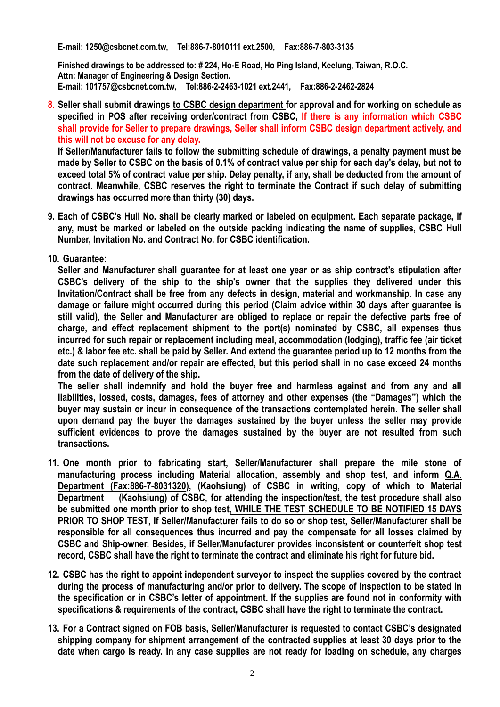**E-mail: 1250@csbcnet.com.tw, Tel:886-7-8010111 ext.2500, Fax:886-7-803-3135**

**Finished drawings to be addressed to: # 224, Ho-E Road, Ho Ping Island, Keelung, Taiwan, R.O.C. Attn: Manager of Engineering & Design Section. E-mail: 101757@csbcnet.com.tw, Tel:886-2-2463-1021 ext.2441, Fax:886-2-2462-2824**

**8. Seller shall submit drawings to CSBC design department for approval and for working on schedule as specified in POS after receiving order/contract from CSBC, If there is any information which CSBC shall provide for Seller to prepare drawings, Seller shall inform CSBC design department actively, and this will not be excuse for any delay.**

**If Seller/Manufacturer fails to follow the submitting schedule of drawings, a penalty payment must be made by Seller to CSBC on the basis of 0.1% of contract value per ship for each day's delay, but not to exceed total 5% of contract value per ship. Delay penalty, if any, shall be deducted from the amount of contract. Meanwhile, CSBC reserves the right to terminate the Contract if such delay of submitting drawings has occurred more than thirty (30) days.**

- **9. Each of CSBC's Hull No. shall be clearly marked or labeled on equipment. Each separate package, if any, must be marked or labeled on the outside packing indicating the name of supplies, CSBC Hull Number, Invitation No. and Contract No. for CSBC identification.**
- **10. Guarantee:**

**Seller and Manufacturer shall guarantee for at least one year or as ship contract's stipulation after CSBC's delivery of the ship to the ship's owner that the supplies they delivered under this Invitation/Contract shall be free from any defects in design, material and workmanship. In case any damage or failure might occurred during this period (Claim advice within 30 days after guarantee is still valid), the Seller and Manufacturer are obliged to replace or repair the defective parts free of charge, and effect replacement shipment to the port(s) nominated by CSBC, all expenses thus incurred for such repair or replacement including meal, accommodation (lodging), traffic fee (air ticket etc.) & labor fee etc. shall be paid by Seller. And extend the guarantee period up to 12 months from the date such replacement and/or repair are effected, but this period shall in no case exceed 24 months from the date of delivery of the ship.**

**The seller shall indemnify and hold the buyer free and harmless against and from any and all liabilities, lossed, costs, damages, fees of attorney and other expenses (the "Damages") which the buyer may sustain or incur in consequence of the transactions contemplated herein. The seller shall upon demand pay the buyer the damages sustained by the buyer unless the seller may provide sufficient evidences to prove the damages sustained by the buyer are not resulted from such transactions.**

- **11. One month prior to fabricating start, Seller/Manufacturer shall prepare the mile stone of manufacturing process including Material allocation, assembly and shop test, and inform Q.A. Department (Fax:886-7-8031320), (Kaohsiung) of CSBC in writing, copy of which to Material Department (Kaohsiung) of CSBC, for attending the inspection/test, the test procedure shall also be submitted one month prior to shop test, WHILE THE TEST SCHEDULE TO BE NOTIFIED 15 DAYS PRIOR TO SHOP TEST, If Seller/Manufacturer fails to do so or shop test, Seller/Manufacturer shall be responsible for all consequences thus incurred and pay the compensate for all losses claimed by CSBC and Ship-owner. Besides, if Seller/Manufacturer provides inconsistent or counterfeit shop test record, CSBC shall have the right to terminate the contract and eliminate his right for future bid.**
- **12. CSBC has the right to appoint independent surveyor to inspect the supplies covered by the contract during the process of manufacturing and/or prior to delivery. The scope of inspection to be stated in the specification or in CSBC's letter of appointment. If the supplies are found not in conformity with specifications & requirements of the contract, CSBC shall have the right to terminate the contract.**
- **13. For a Contract signed on FOB basis, Seller/Manufacturer is requested to contact CSBC's designated shipping company for shipment arrangement of the contracted supplies at least 30 days prior to the date when cargo is ready. In any case supplies are not ready for loading on schedule, any charges**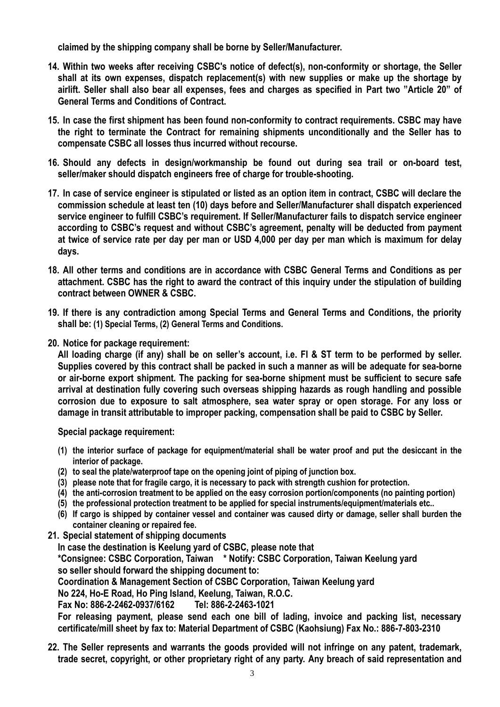**claimed by the shipping company shall be borne by Seller/Manufacturer.**

- **14. Within two weeks after receiving CSBC's notice of defect(s), non-conformity or shortage, the Seller shall at its own expenses, dispatch replacement(s) with new supplies or make up the shortage by airlift. Seller shall also bear all expenses, fees and charges as specified in Part two "Article 20" of General Terms and Conditions of Contract.**
- **15. In case the first shipment has been found non-conformity to contract requirements. CSBC may have the right to terminate the Contract for remaining shipments unconditionally and the Seller has to compensate CSBC all losses thus incurred without recourse.**
- **16. Should any defects in design/workmanship be found out during sea trail or on-board test, seller/maker should dispatch engineers free of charge for trouble-shooting.**
- **17. In case of service engineer is stipulated or listed as an option item in contract, CSBC will declare the commission schedule at least ten (10) days before and Seller/Manufacturer shall dispatch experienced service engineer to fulfill CSBC's requirement. If Seller/Manufacturer fails to dispatch service engineer according to CSBC's request and without CSBC's agreement, penalty will be deducted from payment at twice of service rate per day per man or USD 4,000 per day per man which is maximum for delay days.**
- **18. All other terms and conditions are in accordance with CSBC General Terms and Conditions as per attachment. CSBC has the right to award the contract of this inquiry under the stipulation of building contract between OWNER & CSBC.**
- **19. If there is any contradiction among Special Terms and General Terms and Conditions, the priority shall be: (1) Special Terms, (2) General Terms and Conditions.**
- **20. Notice for package requirement:**

**All loading charge (if any) shall be on seller's account, i.e. FI & ST term to be performed by seller. Supplies covered by this contract shall be packed in such a manner as will be adequate for sea-borne or air-borne export shipment. The packing for sea-borne shipment must be sufficient to secure safe arrival at destination fully covering such overseas shipping hazards as rough handling and possible corrosion due to exposure to salt atmosphere, sea water spray or open storage. For any loss or damage in transit attributable to improper packing, compensation shall be paid to CSBC by Seller.**

**Special package requirement:**

- **(1) the interior surface of package for equipment/material shall be water proof and put the desiccant in the interior of package.**
- **(2) to seal the plate/waterproof tape on the opening joint of piping of junction box.**
- **(3) please note that for fragile cargo, it is necessary to pack with strength cushion for protection.**
- **(4) the anti-corrosion treatment to be applied on the easy corrosion portion/components (no painting portion)**
- **(5) the professional protection treatment to be applied for special instruments/equipment/materials etc..**
- **(6) If cargo is shipped by container vessel and container was caused dirty or damage, seller shall burden the container cleaning or repaired fee.**
- **21. Special statement of shipping documents**

**In case the destination is Keelung yard of CSBC, please note that**

**\*Consignee: CSBC Corporation, Taiwan \* Notify: CSBC Corporation, Taiwan Keelung yard so seller should forward the shipping document to:**

**Coordination & Management Section of CSBC Corporation, Taiwan Keelung yard**

**No 224, Ho-E Road, Ho Ping Island, Keelung, Taiwan, R.O.C.**

**Fax No: 886-2-2462-0937/6162 Tel: 886-2-2463-1021**

**For releasing payment, please send each one bill of lading, invoice and packing list, necessary certificate/mill sheet by fax to: Material Department of CSBC (Kaohsiung) Fax No.: 886-7-803-2310**

**22. The Seller represents and warrants the goods provided will not infringe on any patent, trademark, trade secret, copyright, or other proprietary right of any party. Any breach of said representation and**